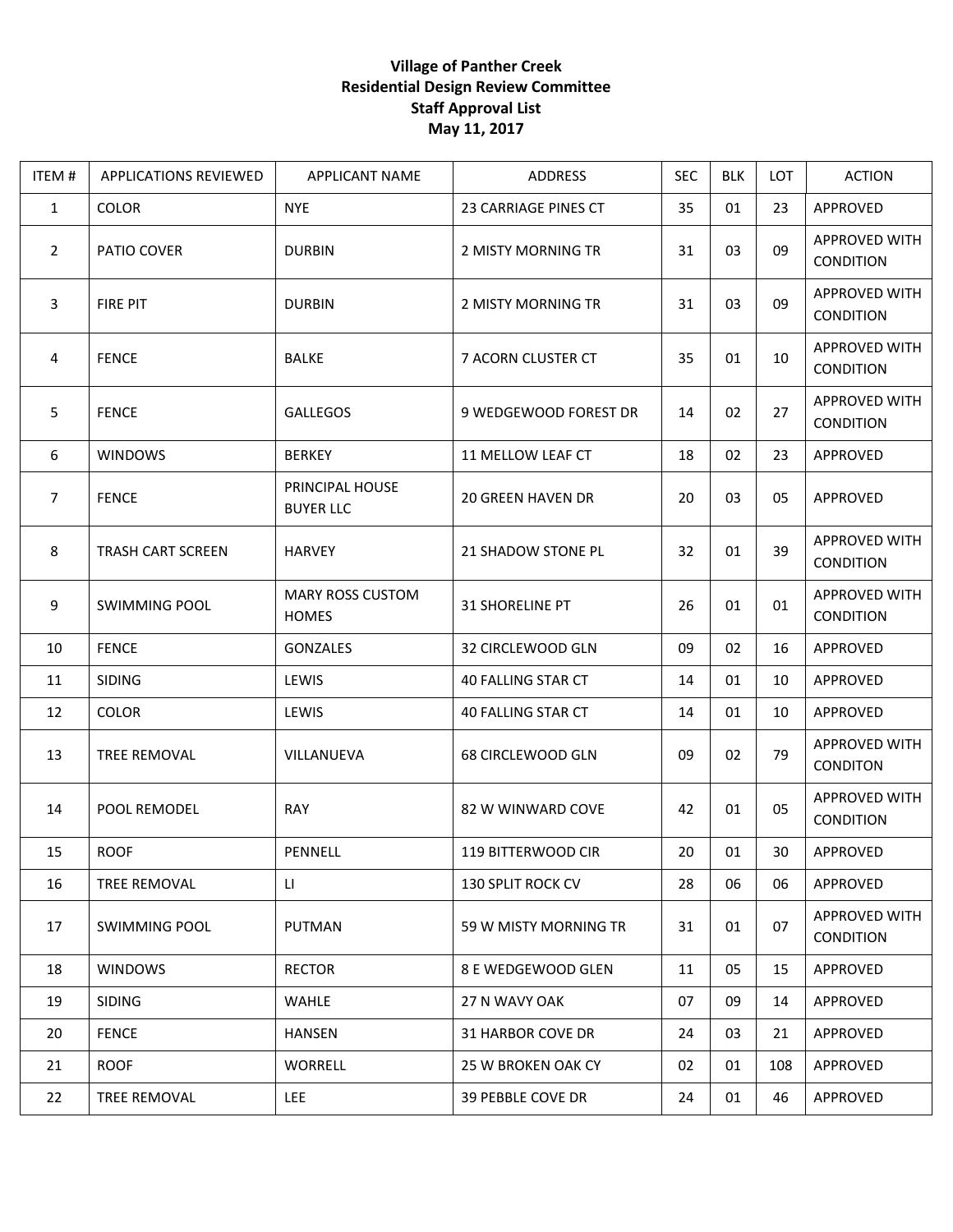## **Village of Panther Creek Residential Design Review Committee Staff Approval List May 11, 2017**

| ITEM#          | APPLICATIONS REVIEWED    | APPLICANT NAME                          | ADDRESS                   | <b>SEC</b> | <b>BLK</b> | LOT | <b>ACTION</b>                     |
|----------------|--------------------------|-----------------------------------------|---------------------------|------------|------------|-----|-----------------------------------|
| $\mathbf{1}$   | <b>COLOR</b>             | <b>NYE</b>                              | 23 CARRIAGE PINES CT      | 35         | 01         | 23  | APPROVED                          |
| $\overline{2}$ | PATIO COVER              | <b>DURBIN</b>                           | 2 MISTY MORNING TR        | 31         | 03         | 09  | APPROVED WITH<br>CONDITION        |
| 3              | <b>FIRE PIT</b>          | <b>DURBIN</b>                           | 2 MISTY MORNING TR        | 31         | 03         | 09  | APPROVED WITH<br><b>CONDITION</b> |
| 4              | <b>FENCE</b>             | <b>BALKE</b>                            | 7 ACORN CLUSTER CT        | 35         | 01         | 10  | APPROVED WITH<br>CONDITION        |
| 5              | <b>FENCE</b>             | <b>GALLEGOS</b>                         | 9 WEDGEWOOD FOREST DR     | 14         | 02         | 27  | APPROVED WITH<br><b>CONDITION</b> |
| 6              | <b>WINDOWS</b>           | <b>BERKEY</b>                           | 11 MELLOW LEAF CT         | 18         | 02         | 23  | APPROVED                          |
| $\overline{7}$ | <b>FENCE</b>             | PRINCIPAL HOUSE<br><b>BUYER LLC</b>     | <b>20 GREEN HAVEN DR</b>  | 20         | 03         | 05  | APPROVED                          |
| 8              | <b>TRASH CART SCREEN</b> | <b>HARVEY</b>                           | 21 SHADOW STONE PL        | 32         | 01         | 39  | APPROVED WITH<br>CONDITION        |
| 9              | <b>SWIMMING POOL</b>     | <b>MARY ROSS CUSTOM</b><br><b>HOMES</b> | <b>31 SHORELINE PT</b>    | 26         | 01         | 01  | APPROVED WITH<br>CONDITION        |
| 10             | <b>FENCE</b>             | <b>GONZALES</b>                         | 32 CIRCLEWOOD GLN         | 09         | 02         | 16  | APPROVED                          |
| 11             | <b>SIDING</b>            | LEWIS                                   | <b>40 FALLING STAR CT</b> | 14         | 01         | 10  | APPROVED                          |
| 12             | <b>COLOR</b>             | LEWIS                                   | 40 FALLING STAR CT        | 14         | 01         | 10  | APPROVED                          |
| 13             | TREE REMOVAL             | VILLANUEVA                              | 68 CIRCLEWOOD GLN         | 09         | 02         | 79  | APPROVED WITH<br><b>CONDITON</b>  |
| 14             | POOL REMODEL             | <b>RAY</b>                              | 82 W WINWARD COVE         | 42         | 01         | 05  | APPROVED WITH<br><b>CONDITION</b> |
| 15             | <b>ROOF</b>              | PENNELL                                 | <b>119 BITTERWOOD CIR</b> | 20         | 01         | 30  | APPROVED                          |
| 16             | TREE REMOVAL             | П                                       | <b>130 SPLIT ROCK CV</b>  | 28         | 06         | 06  | APPROVED                          |
| 17             | <b>SWIMMING POOL</b>     | PUTMAN                                  | 59 W MISTY MORNING TR     | 31         | 01         | 07  | APPROVED WITH<br><b>CONDITION</b> |
| 18             | <b>WINDOWS</b>           | <b>RECTOR</b>                           | 8 E WEDGEWOOD GLEN        | 11         | 05         | 15  | APPROVED                          |
| 19             | <b>SIDING</b>            | <b>WAHLE</b>                            | 27 N WAVY OAK             | 07         | 09         | 14  | APPROVED                          |
| 20             | <b>FENCE</b>             | <b>HANSEN</b>                           | 31 HARBOR COVE DR         | 24         | 03         | 21  | APPROVED                          |
| 21             | <b>ROOF</b>              | <b>WORRELL</b>                          | 25 W BROKEN OAK CY        | 02         | 01         | 108 | APPROVED                          |
| 22             | TREE REMOVAL             | LEE                                     | 39 PEBBLE COVE DR         | 24         | 01         | 46  | APPROVED                          |